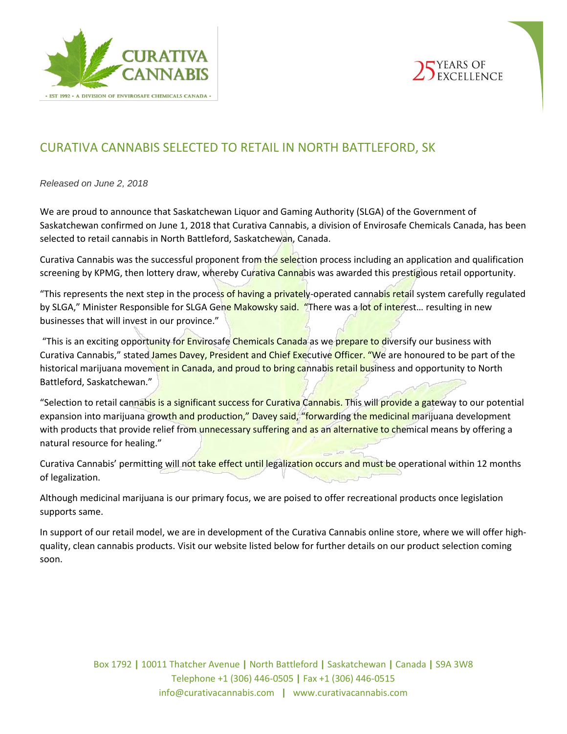



# CURATIVA CANNABIS SELECTED TO RETAIL IN NORTH BATTLEFORD, SK

*Released on June 2, 2018*

We are proud to announce that Saskatchewan Liquor and Gaming Authority (SLGA) of the Government of Saskatchewan confirmed on June 1, 2018 that Curativa Cannabis, a division of Envirosafe Chemicals Canada, has been selected to retail cannabis in North Battleford, Saskatchewan, Canada.

Curativa Cannabis was the successful proponent from the selection process including an application and qualification screening by KPMG, then lottery draw, whereby Curativa Cannabis was awarded this prestigious retail opportunity.

"This represents the next step in the process of having a privately-operated cannabis retail system carefully regulated by SLGA," Minister Responsible for SLGA Gene Makowsky said. "There was a lot of interest... resulting in new businesses that will invest in our province."

"This is an exciting opportunity for **Envirosafe Chemicals Canada** as we prepare to diversify our business with Curativa Cannabis," stated James Davey, President and Chief Executive Officer. "We are honoured to be part of the historical marijuana movement in Canada, and proud to bring cannabis retail business and opportunity to North Battleford, Saskatchewan."

"Selection to retail cannabis is a significant success for Curativa Cannabis. This will provide a gateway to our potential expansion into marijuana growth and production," Davey said, "forwarding the medicinal marijuana development with products that provide relief from unnecessary suffering and as an alternative to chemical means by offering a natural resource for healing."

Curativa Cannabis' permitting will not take effect until legalization occurs and must be operational within 12 months of legalization.

Although medicinal marijuana is our primary focus, we are poised to offer recreational products once legislation supports same.

In support of our retail model, we are in development of the Curativa Cannabis online store, where we will offer highquality, clean cannabis products. Visit our website listed below for further details on our product selection coming soon.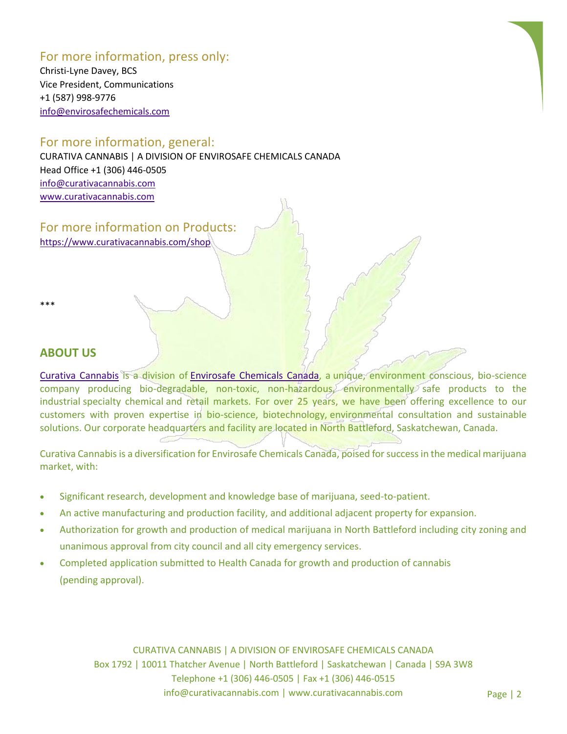# For more information, press only:

Christi-Lyne Davey, BCS Vice President, Communications +1 (587) 998-9776 [info@envirosafechemicals.com](mailto:info@envirosafechemicals.com)

### For more information, general:

CURATIVA CANNABIS | A DIVISION OF ENVIROSAFE CHEMICALS CANADA Head Office +1 (306) 446-0505 [info@curativacannabis.com](mailto:info@curativacannabis.com) [www.curativacannabis.com](http://www.curativacannabis.com/)

For more information on Products: <https://www.curativacannabis.com/shop>

\*\*\*

## **ABOUT US**

[Curativa Cannabis](http://www.curativacannabis.com/) is a division of [Envirosafe](http://www.envirosafechem.com/) Chemicals Canada, a unique, environment conscious, bio-science company producing bio-degradable, non-toxic, non-hazardous, environmentally safe products to the industrial specialty chemical and retail markets. For over 25 years, we have been offering excellence to our customers with proven expertise in bio-science, biotechnology, environmental consultation and sustainable solutions. Our corporate headquarters and facility are located in North Battleford, Saskatchewan, Canada.

Curativa Cannabis is a diversification for Envirosafe Chemicals Canada, poised for success in the medical marijuana market, with:

- Significant research, development and knowledge base of marijuana, seed-to-patient.
- An active manufacturing and production facility, and additional adjacent property for expansion.
- Authorization for growth and production of medical marijuana in North Battleford including city zoning and unanimous approval from city council and all city emergency services.
- Completed application submitted to Health Canada for growth and production of cannabis (pending approval).

CURATIVA CANNABIS | A DIVISION OF ENVIROSAFE CHEMICALS CANADA Box 1792 | 10011 Thatcher Avenue | North Battleford | Saskatchewan | Canada | S9A 3W8 Telephone +1 (306) 446-0505 | Fax +1 (306) 446-0515 info@curativacannabis.com | www.curativacannabis.com Page | 2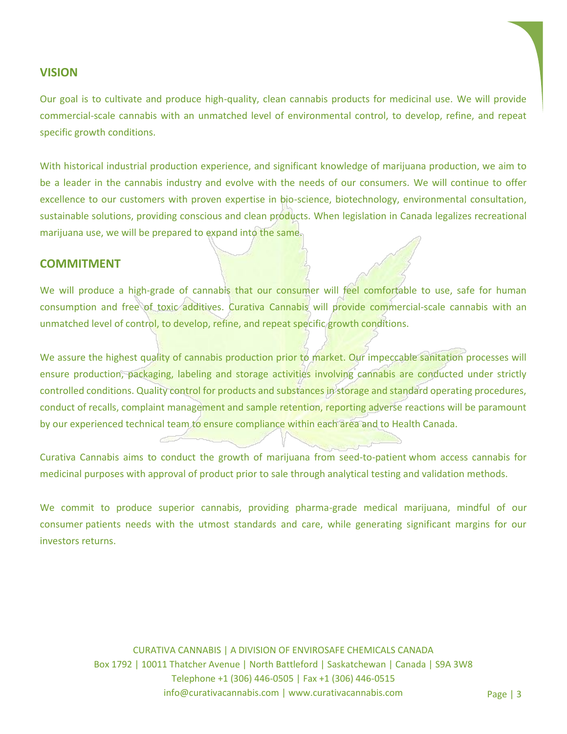### **VISION**

Our goal is to cultivate and produce high-quality, clean cannabis products for medicinal use. We will provide commercial-scale cannabis with an unmatched level of environmental control, to develop, refine, and repeat specific growth conditions.

With historical industrial production experience, and significant knowledge of marijuana production, we aim to be a leader in the cannabis industry and evolve with the needs of our consumers. We will continue to offer excellence to our customers with proven expertise in bio-science, biotechnology, environmental consultation, sustainable solutions, providing conscious and clean products. When legislation in Canada legalizes recreational marijuana use, we will be prepared to expand into the same.

#### **COMMITMENT**

We will produce a high-grade of cannabis that our consumer will feel comfortable to use, safe for human consumption and free of toxic additives. Curativa Cannabis will provide commercial-scale cannabis with an unmatched level of control, to develop, refine, and repeat specific growth conditions.

We assure the highest quality of cannabis production prior to market. Our impeccable sanitation processes will ensure production, packaging, labeling and storage activities involving cannabis are conducted under strictly controlled conditions. Quality control for products and substances in storage and standard operating procedures, conduct of recalls, complaint management and sample retention, reporting adverse reactions will be paramount by our experienced technical team to ensure compliance within each area and to Health Canada.

Curativa Cannabis aims to conduct the growth of marijuana from seed-to-patient whom access cannabis for medicinal purposes with approval of product prior to sale through analytical testing and validation methods.

We commit to produce superior cannabis, providing pharma-grade medical marijuana, mindful of our consumer patients needs with the utmost standards and care, while generating significant margins for our investors returns.